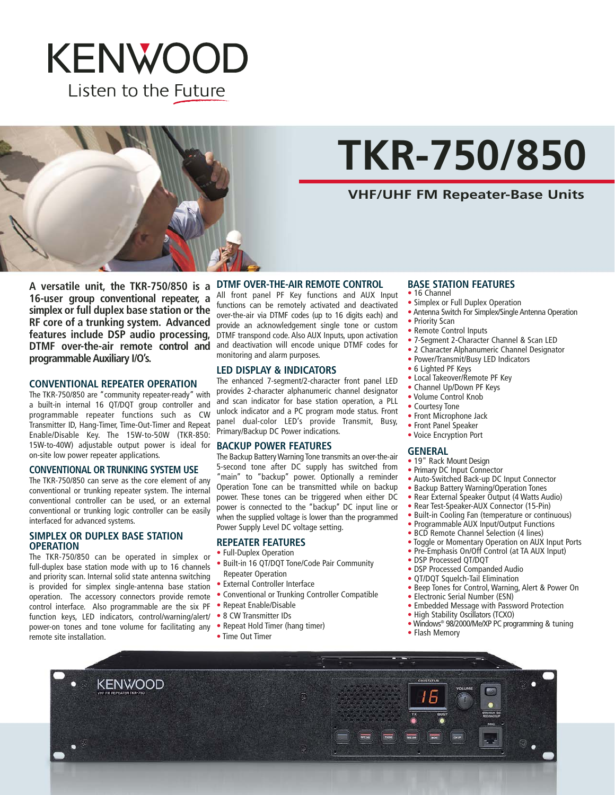



# **TKR-750/850**

#### **VHF/UHF FM Repeater-Base Units**

A versatile unit, the TKR-750/850 is a DTMF OVER-THE-AIR REMOTE CONTROL **16-user group conventional repeater, a simplex or full duplex base station or the RF core of a trunking system. Advanced features include DSP audio processing, DTMF over-the-air remote control and programmable Auxiliary I/O's.**

#### **CONVENTIONAL REPEATER OPERATION**

The TKR-750/850 are "community repeater-ready" with a built-in internal 16 QT/DQT group controller and programmable repeater functions such as CW Transmitter ID, Hang-Timer, Time-Out-Timer and Repeat Enable/Disable Key. The 15W-to-50W (TKR-850: 15W-to-40W) adjustable output power is ideal for on-site low power repeater applications.

#### **CONVENTIONAL OR TRUNKING SYSTEM USE**

The TKR-750/850 can serve as the core element of any conventional or trunking repeater system. The internal conventional controller can be used, or an external conventional or trunking logic controller can be easily interfaced for advanced systems.

#### **SIMPLEX OR DUPLEX BASE STATION OPERATION**

The TKR-750/850 can be operated in simplex or full-duplex base station mode with up to 16 channels and priority scan. Internal solid state antenna switching is provided for simplex single-antenna base station operation. The accessory connectors provide remote control interface. Also programmable are the six PF function keys, LED indicators, control/warning/alert/ power-on tones and tone volume for facilitating any • Repeat Hold Timer (hang timer) remote site installation.

All front panel PF Key functions and AUX Input functions can be remotely activated and deactivated over-the-air via DTMF codes (up to 16 digits each) and provide an acknowledgement single tone or custom DTMF transpond code. Also AUX Inputs, upon activation and deactivation will encode unique DTMF codes for monitoring and alarm purposes.

#### **LED DISPLAY & INDICATORS**

The enhanced 7-segment/2-character front panel LED provides 2-character alphanumeric channel designator and scan indicator for base station operation, a PLL unlock indicator and a PC program mode status. Front panel dual-color LED's provide Transmit, Busy, Primary/Backup DC Power indications.

#### **BACKUP POWER FEATURES**

The Backup Battery Warning Tone transmits an over-the-air 5-second tone after DC supply has switched from 'main" to "backup" power. Optionally a reminder Operation Tone can be transmitted while on backup power. These tones can be triggered when either DC power is connected to the "backup'' DC input line or when the supplied voltage is lower than the programmed Power Supply Level DC voltage setting.

#### **REPEATER FEATURES**

- Full-Duplex Operation
- Built-in 16 QT/DQT Tone/Code Pair Community Repeater Operation
- External Controller Interface
- Conventional or Trunking Controller Compatible
- Repeat Enable/Disable
- 8 CW Transmitter IDs
- 
- Time Out Timer

#### **BASE STATION FEATURES**

- 16 Channel
- Simplex or Full Duplex Operation
- Antenna Switch For Simplex/Single Antenna Operation
- Priority Scan
- Remote Control Inputs
- 7-Segment 2-Character Channel & Scan LED
- 2 Character Alphanumeric Channel Designator
- Power/Transmit/Busy LED Indicators
- 6 Lighted PF Keys
- Local Takeover/Remote PF Key
- Channel Up/Down PF Keys
- Volume Control Knob
- Courtesy Tone
- Front Microphone Jack
- Front Panel Speaker
- Voice Encryption Port

#### **GENERAL**

- 19" Rack Mount Design
- Primary DC Input Connector
- Auto-Switched Back-up DC Input Connector
- Backup Battery Warning/Operation Tones
- Rear External Speaker Output (4 Watts Audio)
- Rear Test-Speaker-AUX Connector (15-Pin)
- Built-in Cooling Fan (temperature or continuous)
- Programmable AUX Input/Output Functions
- BCD Remote Channel Selection (4 lines)
- Toggle or Momentary Operation on AUX Input Ports
- Pre-Emphasis On/Off Control (at TA AUX Input)
- DSP Processed QT/DQT
- DSP Processed Companded Audio
- OT/DOT Squelch-Tail Elimination
- Beep Tones for Control, Warning, Alert & Power On
- Electronic Serial Number (ESN)
- Embedded Message with Password Protection
- High Stability Oscillators (TCXO)
- Windows® 98/2000/Me/XP PC programming & tuning
- Flash Memory